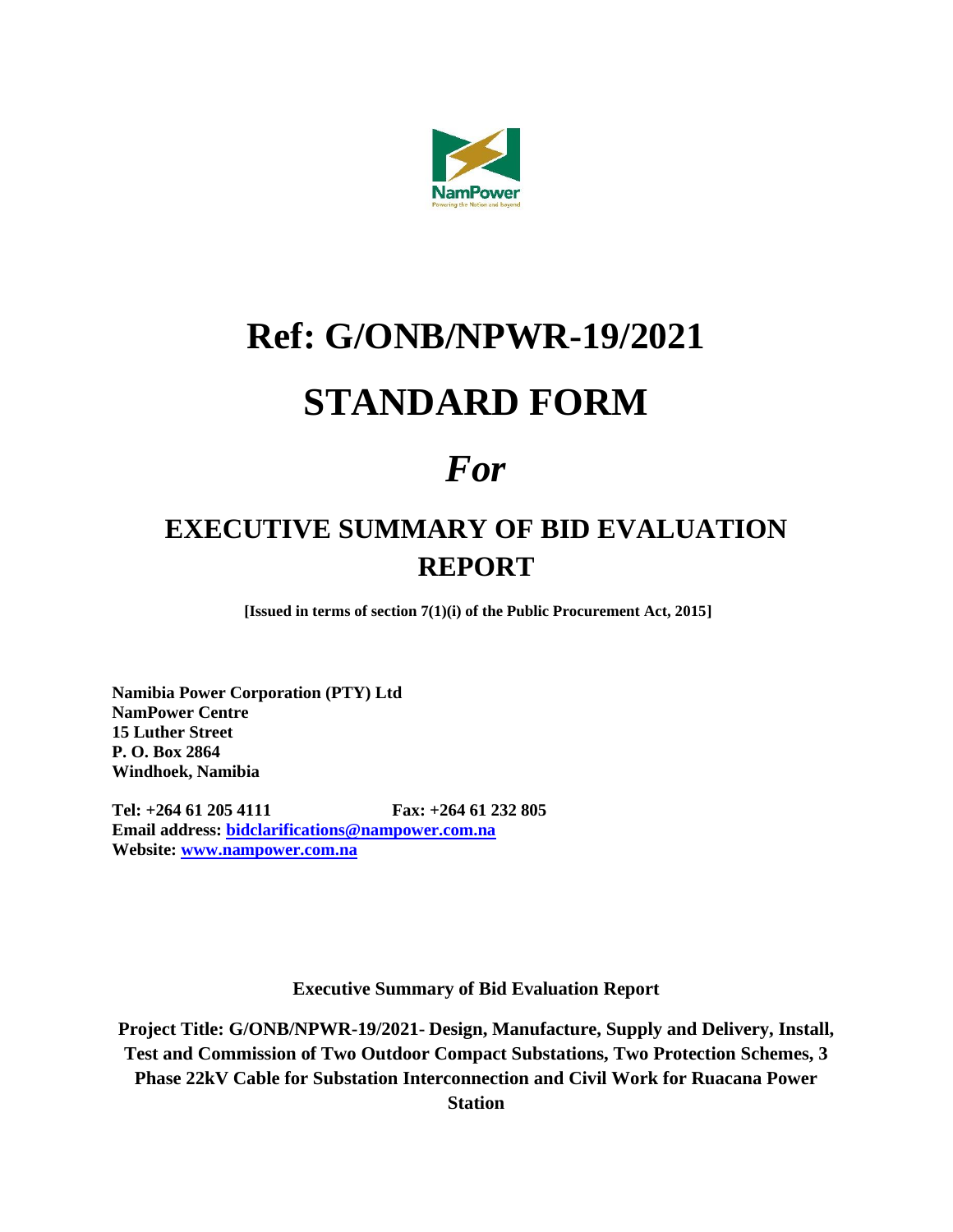

## **Ref: G/ONB/NPWR-19/2021 STANDARD FORM**

## *For*

## **EXECUTIVE SUMMARY OF BID EVALUATION REPORT**

**[Issued in terms of section 7(1)(i) of the Public Procurement Act, 2015]**

**Namibia Power Corporation (PTY) Ltd NamPower Centre 15 Luther Street P. O. Box 2864 Windhoek, Namibia**

**Tel: +264 61 205 4111 Fax: +264 61 232 805 Email address: [bidclarifications@nampower.com.na](mailto:bidclarifications@nampower.com.na) Website: [www.nampower.com.na](http://www.nampower.com.na/)**

**Executive Summary of Bid Evaluation Report**

**Project Title: G/ONB/NPWR-19/2021- Design, Manufacture, Supply and Delivery, Install, Test and Commission of Two Outdoor Compact Substations, Two Protection Schemes, 3 Phase 22kV Cable for Substation Interconnection and Civil Work for Ruacana Power Station**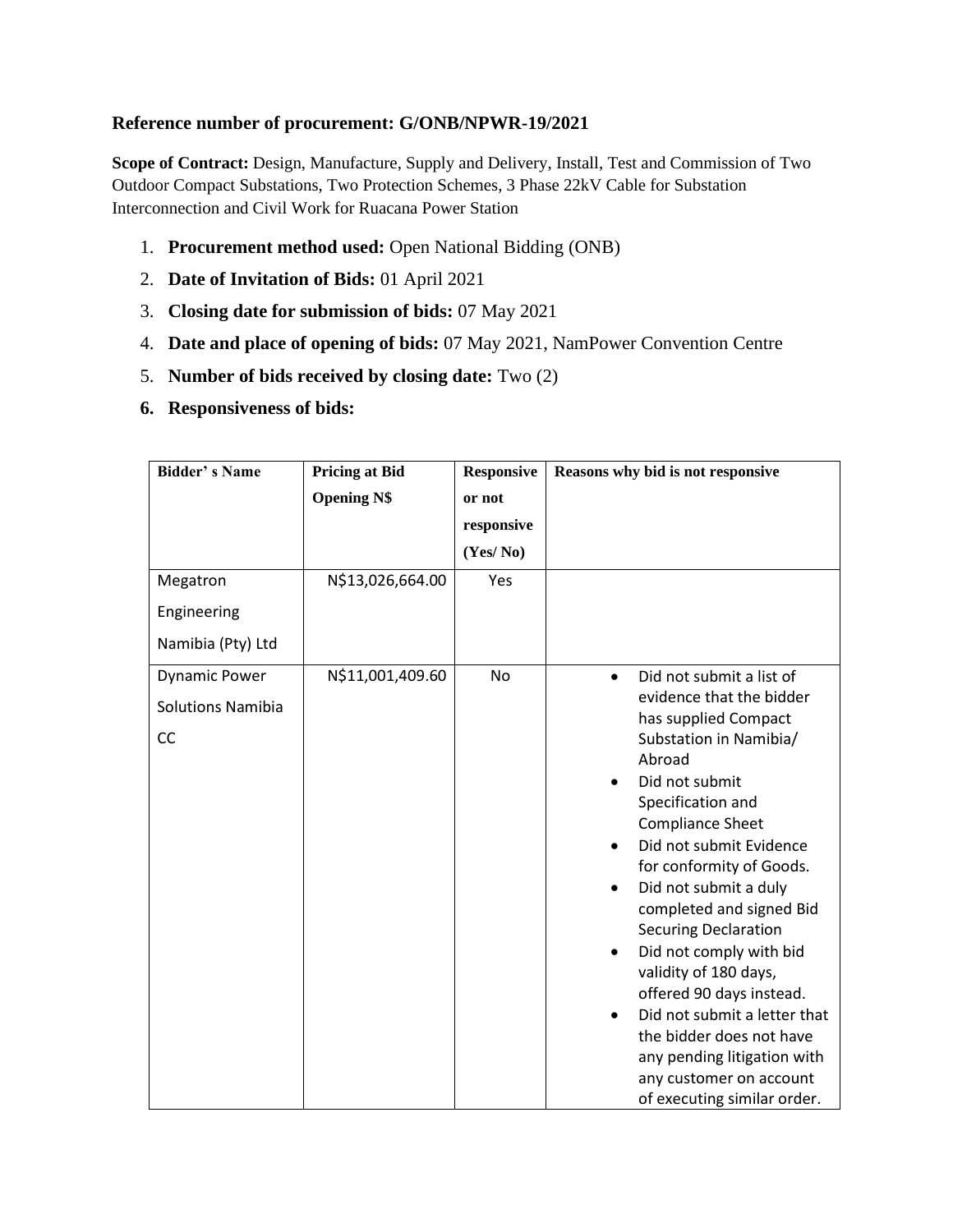## **Reference number of procurement: G/ONB/NPWR-19/2021**

**Scope of Contract:** Design, Manufacture, Supply and Delivery, Install, Test and Commission of Two Outdoor Compact Substations, Two Protection Schemes, 3 Phase 22kV Cable for Substation Interconnection and Civil Work for Ruacana Power Station

- 1. **Procurement method used:** Open National Bidding (ONB)
- 2. **Date of Invitation of Bids:** 01 April 2021
- 3. **Closing date for submission of bids:** 07 May 2021
- 4. **Date and place of opening of bids:** 07 May 2021, NamPower Convention Centre
- 5. **Number of bids received by closing date:** Two (2)
- **6. Responsiveness of bids:**

| <b>Bidder's Name</b>                                   | <b>Pricing at Bid</b> | <b>Responsive</b> | Reasons why bid is not responsive                                                                                                                                                                                                                                                                                                                                                                                                                                                                                                                                                            |  |  |
|--------------------------------------------------------|-----------------------|-------------------|----------------------------------------------------------------------------------------------------------------------------------------------------------------------------------------------------------------------------------------------------------------------------------------------------------------------------------------------------------------------------------------------------------------------------------------------------------------------------------------------------------------------------------------------------------------------------------------------|--|--|
|                                                        | <b>Opening N\$</b>    | or not            |                                                                                                                                                                                                                                                                                                                                                                                                                                                                                                                                                                                              |  |  |
|                                                        |                       | responsive        |                                                                                                                                                                                                                                                                                                                                                                                                                                                                                                                                                                                              |  |  |
|                                                        |                       | (Yes/No)          |                                                                                                                                                                                                                                                                                                                                                                                                                                                                                                                                                                                              |  |  |
| Megatron                                               | N\$13,026,664.00      | Yes               |                                                                                                                                                                                                                                                                                                                                                                                                                                                                                                                                                                                              |  |  |
| Engineering                                            |                       |                   |                                                                                                                                                                                                                                                                                                                                                                                                                                                                                                                                                                                              |  |  |
| Namibia (Pty) Ltd                                      |                       |                   |                                                                                                                                                                                                                                                                                                                                                                                                                                                                                                                                                                                              |  |  |
| <b>Dynamic Power</b><br><b>Solutions Namibia</b><br>CC | N\$11,001,409.60      | No                | Did not submit a list of<br>$\bullet$<br>evidence that the bidder<br>has supplied Compact<br>Substation in Namibia/<br>Abroad<br>Did not submit<br>Specification and<br><b>Compliance Sheet</b><br>Did not submit Evidence<br>$\bullet$<br>for conformity of Goods.<br>Did not submit a duly<br>completed and signed Bid<br><b>Securing Declaration</b><br>Did not comply with bid<br>validity of 180 days,<br>offered 90 days instead.<br>Did not submit a letter that<br>the bidder does not have<br>any pending litigation with<br>any customer on account<br>of executing similar order. |  |  |